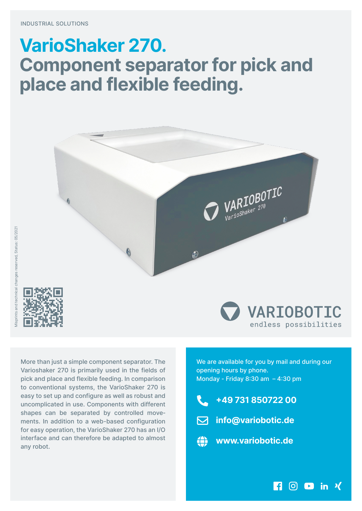## **VarioShaker 270. Component separator for pick and place and flexible feeding.**



More than just a simple component separator. The Varioshaker 270 is primarily used in the fields of pick and place and flexible feeding. In comparison to conventional systems, the VarioShaker 270 is easy to set up and configure as well as robust and uncomplicated in use. Components with different shapes can be separated by controlled movements. In addition to a web-based configuration for easy operation, the VarioShaker 270 has an I/O interface and can therefore be adapted to almost any robot.

We are available for you by mail and during our opening hours by phone. Monday - Friday 8:30 am  $-$  4:30 pm

endless possibilities

**ROD** in Y

**�49 731 850722 00**



æ **www.variobotic.de**